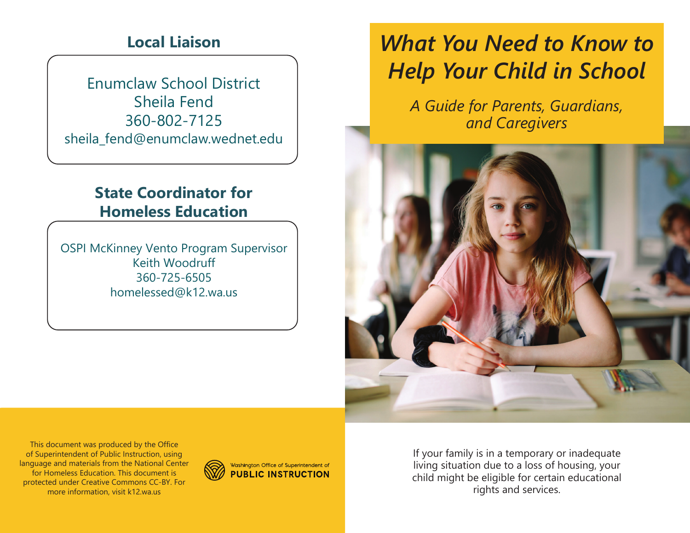### **Local Liaison**

Enumclaw School DistrictSheila Fend 360-802-7125sheila\_fend@enumclaw.wednet.edu

### **State Coordinator for Homeless Education**

OSPI McKinney Vento Program SupervisorKeith Woodruff 360-725-6505homelessed@k12.wa.us

# *What You Need to Know to Help Your Child in School*

*A Guide for Parents, Guardians, and Caregivers* 



This document was produced by the Office of Superintendent of Public Instruction, using language and materials from the National Center for Homeless Education. This document is protected under Creative Commons CC-BY. For more information, visit k12.wa.us



If your family is in a temporary or inadequate living situation due to a loss of housing, your child might be eligible for certain educational rights and services.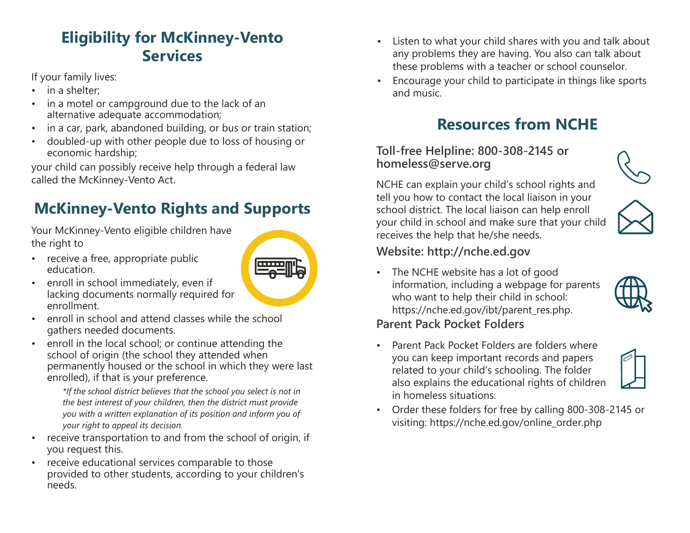## **Eligibility for McKinney-Vento Services**

If your family lives:

- •in a shelter;
- • in a motel or campground due to the lack of an alternative adequate accommodation;
- •in a car, park, abandoned building, or bus or train station;
- • doubled-up with other people due to loss of housing or economic hardship;

your child can possibly receive help through a federal law called the McKinney-Vento Act.

# **McKinney-Vento Rights and Supports**

Your McKinney-Vento eligible children have the right to

• receive a free, appropriate public education.



- enroll in school and attend classes while the school gathers needed documents.
- enroll in the local school; or continue attending the school of origin (the school they attended when permanently housed or the school in which they were last enrolled), if that is your preference.

*\*If the school district believes that the school you select is not in the best interest of your children, then the district must provide you with a written explanation of its position and inform you of your right to appeal its decision.*

- • receive transportation to and from the school of origin, if you request this.
- • receive educational services comparable to those provided to other students, according to your children's needs.
- • Listen to what your child shares with you and talk aboutany problems they are having. You also can talk aboutthese problems with a teacher or school counselor.
- • Encourage your child to participate in things like sportsand music.

### **Resources from NCHE**

#### **Toll-free Helpline: 800-308-2145 or homeless@serve.org**

NCHE can explain your child's school rights and tell you how to contact the local liaison in your school district. The local liaison can help enroll your child in school and make sure that your child receives the help that he/she needs.





### **Website: http://nche.ed.gov**

• The NCHE website has a lot of good information, including a webpage for parents who want to help their child in school: https://nche.ed.gov/ibt/parent\_res.php.



### **Parent Pack Pocket Folders**

• Parent Pack Pocket Folders are folders whereyou can keep important records and papers related to your child's schooling. The folder also explains the educational rights of children in homeless situations.



• Order these folders for free by calling 800-308-2145 or visiting: https://nche.ed.gov/online\_order.php

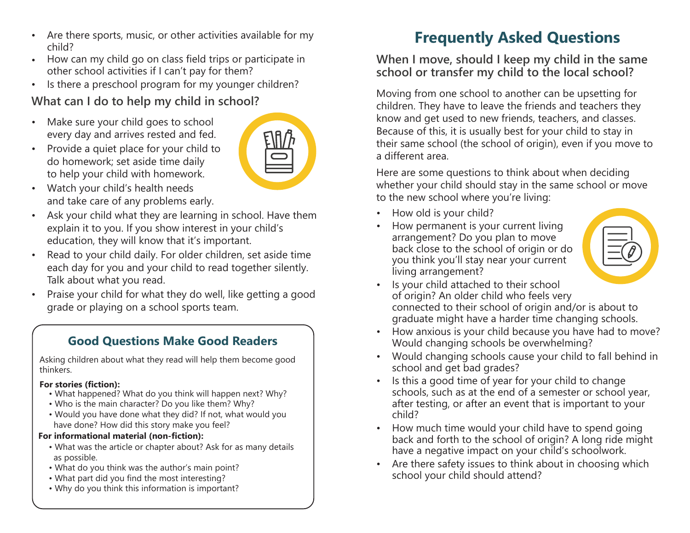- •Are there sports, music, or other activities available for mychild?
- How can my child go on class field trips or participate inother school activities if I can't pay for them?
- Is there a preschool program for my younger children? •

### **What can I do to help my child in school?**

- • Make sure your child goes to schoolevery day and arrives rested and fed.
- • Provide a quiet place for your child todo homework; set aside time dailyto help your child with homework.



- $\bullet$  Watch your child's health needs and take care of any problems early.
- • Ask your child what they are learning in school. Have themexplain it to you. If you show interest in your child'seducation, they will know that it's important.
- • Read to your child daily. For older children, set aside time each day for you and your child to read together silently. Talk about what you read.
- • Praise your child for what they do well, like getting a goodgrade or playing on a school sports team.

#### **Good Questions Make Good Readers**

Asking children about what they read will help them become good thinkers.

#### **For stories (fiction):**

- What happened? What do you think will happen next? Why?
- Who is the main character? Do you like them? Why?
- Would yo<sup>u</sup> have done what they did? If not, what would you have done? How did this story make you feel?

#### **For informational material (non-fiction):**

- What was the article or chapter about? Ask for as many detailsas possible.
- What do you think was the author's main point?
- What part did you find the most interesting?
- Why do you think this information is important?

### **Frequently Asked Questions**

**When I move, should I keep my child in the same school or transfer my child to the local school?** 

Moving from one school to another can be upsetting for children. They have to leave the friends and teachers they know and get used to new friends, teachers, and classes. Because of this, it is usually best for your child to stay in their same school (the school of origin), even if you move to a different area.

Here are some questions to think about when deciding whether your child should stay in the same school or move to the new school where you're living:

- How old is your child?
- How permanent is your current living• arrangement? Do you plan to move back close to the school of origin or do you think you'll stay near your currentliving arrangement?



- Is your child attached to their school •of origin? An older child who feels very connected to their school of origin and/or is about tograduate might have a harder time changing schools.
- •How anxious is your child because you have had to move? Would changing schools be overwhelming?
- Would changing schools cause your child to fall behind inschool and get bad grades?
- Is this a good time of year for your child to change • schools, such as at the end of a semester or school year, after testing, or after an event that is important to yourchild?
- How much time would your child have to spend going back and forth to the school of origin? A long ride mighthave a negative impact on your child's schoolwork.
- • Are there safety issues to think about in choosing whichschool your child should attend?